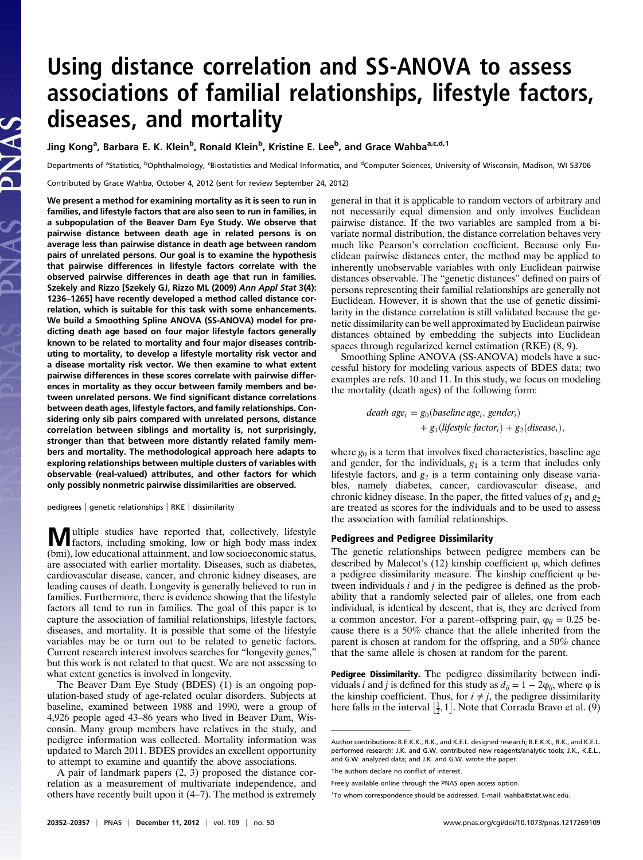# Using distance correlation and SS-ANOVA to assess associations of familial relationships, lifestyle factors, diseases, and mortality

Jing Kong<sup>a</sup>, Barbara E. K. Klein<sup>b</sup>, Ronald Klein<sup>b</sup>, Kristine E. Lee<sup>b</sup>, and Grace Wahba<sup>a,c,d,1</sup>

Departments of <sup>a</sup>Statistics, <sup>b</sup>Ophthalmology, <sup>c</sup>Biostatistics and Medical Informatics, and <sup>d</sup>Computer Sciences, University of Wisconsin, Madison, WI 53706

Contributed by Grace Wahba, October 4, 2012 (sent for review September 24, 2012)

We present a method for examining mortality as it is seen to run in families, and lifestyle factors that are also seen to run in families, in a subpopulation of the Beaver Dam Eye Study. We observe that pairwise distance between death age in related persons is on average less than pairwise distance in death age between random pairs of unrelated persons. Our goal is to examine the hypothesis that pairwise differences in lifestyle factors correlate with the observed pairwise differences in death age that run in families. Szekely and Rizzo [Szekely GJ, Rizzo ML (2009) Ann Appl Stat 3(4): 1236–1265] have recently developed a method called distance correlation, which is suitable for this task with some enhancements. We build a Smoothing Spline ANOVA (SS-ANOVA) model for predicting death age based on four major lifestyle factors generally known to be related to mortality and four major diseases contributing to mortality, to develop a lifestyle mortality risk vector and a disease mortality risk vector. We then examine to what extent pairwise differences in these scores correlate with pairwise differences in mortality as they occur between family members and between unrelated persons. We find significant distance correlations between death ages, lifestyle factors, and family relationships. Considering only sib pairs compared with unrelated persons, distance correlation between siblings and mortality is, not surprisingly, stronger than that between more distantly related family members and mortality. The methodological approach here adapts to exploring relationships between multiple clusters of variables with observable (real-valued) attributes, and other factors for which only possibly nonmetric pairwise dissimilarities are observed.

pedigrees | genetic relationships | RKE | dissimilarity

 $\leq$ 

Multiple studies have reported that, collectively, lifestyle factors, including smoking, low or high body mass index (bmi), low educational attainment, and low socioeconomic status, are associated with earlier mortality. Diseases, such as diabetes, cardiovascular disease, cancer, and chronic kidney diseases, are leading causes of death. Longevity is generally believed to run in families. Furthermore, there is evidence showing that the lifestyle factors all tend to run in families. The goal of this paper is to capture the association of familial relationships, lifestyle factors, diseases, and mortality. It is possible that some of the lifestyle variables may be or turn out to be related to genetic factors. Current research interest involves searches for "longevity genes," but this work is not related to that quest. We are not assessing to what extent genetics is involved in longevity.

The Beaver Dam Eye Study (BDES)  $(1)$  is an ongoing population-based study of age-related ocular disorders. Subjects at baseline, examined between 1988 and 1990, were a group of 4,926 people aged 43–86 years who lived in Beaver Dam, Wisconsin. Many group members have relatives in the study, and pedigree information was collected. Mortality information was updated to March 2011. BDES provides an excellent opportunity to attempt to examine and quantify the above associations.

A pair of landmark papers (2, 3) proposed the distance correlation as a measurement of multivariate independence, and others have recently built upon it (4–7). The method is extremely general in that it is applicable to random vectors of arbitrary and not necessarily equal dimension and only involves Euclidean pairwise distance. If the two variables are sampled from a bivariate normal distribution, the distance correlation behaves very much like Pearson's correlation coefficient. Because only Euclidean pairwise distances enter, the method may be applied to inherently unobservable variables with only Euclidean pairwise distances observable. The "genetic distances" defined on pairs of persons representing their familial relationships are generally not Euclidean. However, it is shown that the use of genetic dissimilarity in the distance correlation is still validated because the genetic dissimilarity can be well approximated by Euclidean pairwise distances obtained by embedding the subjects into Euclidean spaces through regularized kernel estimation (RKE) (8, 9).

Smoothing Spline ANOVA (SS-ANOVA) models have a successful history for modeling various aspects of BDES data; two examples are refs. 10 and 11. In this study, we focus on modeling the mortality (death ages) of the following form:

> death age<sub>i</sub> = g<sub>0</sub>(baseline age<sub>i</sub>, gender<sub>i</sub>) +  $g_1$ (lifestyle factor<sub>i</sub>) +  $g_2$ (disease<sub>i</sub>),

where  $g_0$  is a term that involves fixed characteristics, baseline age and gender, for the individuals,  $g_1$  is a term that includes only lifestyle factors, and  $g_2$  is a term containing only disease variables, namely diabetes, cancer, cardiovascular disease, and chronic kidney disease. In the paper, the fitted values of  $g_1$  and  $g_2$ are treated as scores for the individuals and to be used to assess the association with familial relationships.

# Pedigrees and Pedigree Dissimilarity

The genetic relationships between pedigree members can be described by Malecot's  $(12)$  kinship coefficient  $\varphi$ , which defines a pedigree dissimilarity measure. The kinship coefficient φ between individuals  $i$  and  $j$  in the pedigree is defined as the probability that a randomly selected pair of alleles, one from each individual, is identical by descent, that is, they are derived from a common ancestor. For a parent–offspring pair,  $\varphi_{ii} = 0.25$  because there is a 50% chance that the allele inherited from the parent is chosen at random for the offspring, and a 50% chance that the same allele is chosen at random for the parent.

Pedigree Dissimilarity. The pedigree dissimilarity between individuals *i* and *j* is defined for this study as  $d_{ij} = 1 - 2\varphi_{ij}$ , where  $\varphi$  is the kinship coefficient. Thus, for  $i \neq j$ , the pedigree dissimilarity here falls in the interval  $[\frac{1}{2}, 1]$ . Note that Corrada Bravo et al. (9)

Author contributions: B.E.K.K., R.K., and K.E.L. designed research; B.E.K.K., R.K., and K.E.L. performed research; J.K. and G.W. contributed new reagents/analytic tools; J.K., K.E.L., and G.W. analyzed data; and J.K. and G.W. wrote the paper.

The authors declare no conflict of interest.

Freely available online through the PNAS open access option.

<sup>&</sup>lt;sup>1</sup>To whom correspondence should be addressed. E-mail: [wahba@stat.wisc.edu](mailto:wahba@stat.wisc.edu).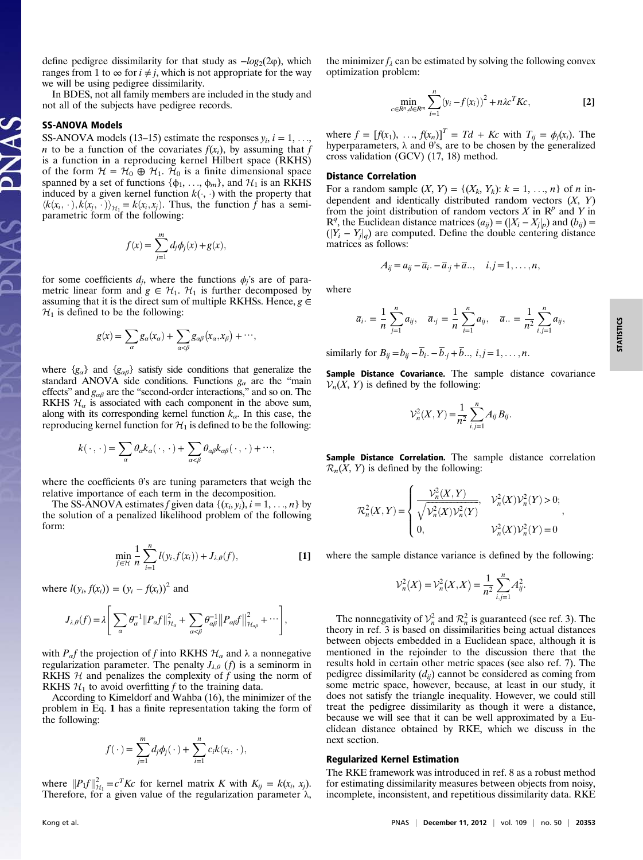define pedigree dissimilarity for that study as  $-log_2(2\varphi)$ , which ranges from 1 to  $\infty$  for  $i \neq j$ , which is not appropriate for the way we will be using pedigree dissimilarity.

In BDES, not all family members are included in the study and not all of the subjects have pedigree records.

# SS-ANOVA Models

PNAS

PNAS

SS-ANOVA models (13–15) estimate the responses  $y_i$ ,  $i = 1, \ldots$ *n* to be a function of the covariates  $f(x_i)$ , by assuming that f is a function in a reproducing kernel Hilbert space (RKHS) of the form  $\mathcal{H} = \mathcal{H}_0 \oplus \mathcal{H}_1$ .  $\mathcal{H}_0$  is a finite dimensional space spanned by a set of functions  $\{\phi_1, \dots, \phi_m\}$ , and  $\mathcal{H}_1$  is an RKHS induced by a given kernel function  $k(\cdot, \cdot)$  with the property that  $\langle k(x_i, \cdot), k(x_j, \cdot) \rangle_{\mathcal{H}} = k(x_i, x_j)$ . Thus, the function f has a semiparametric form of the following:

$$
f(x) = \sum_{j=1}^{m} d_j \phi_j(x) + g(x),
$$

for some coefficients  $d_i$ , where the functions  $\phi_i$ 's are of parametric linear form and  $g \in H_1$ .  $H_1$  is further decomposed by assuming that it is the direct sum of multiple RKHSs. Hence,  $g \in$  $\mathcal{H}_1$  is defined to be the following:

$$
g(x) = \sum_{\alpha} g_{\alpha}(x_{\alpha}) + \sum_{\alpha < \beta} g_{\alpha\beta}(x_{\alpha}, x_{\beta}) + \cdots,
$$

where  ${g_{\alpha}}$  and  ${g_{\alpha\beta}}$  satisfy side conditions that generalize the standard ANOVA side conditions. Functions  $g_a$  are the "main effects" and  $g_{\alpha\beta}$  are the "second-order interactions," and so on. The RKHS  $\mathcal{H}_{\alpha}$  is associated with each component in the above sum, along with its corresponding kernel function  $k_{\alpha}$ . In this case, the reproducing kernel function for  $\mathcal{H}_1$  is defined to be the following:

$$
k(\cdot,\cdot)=\sum_{\alpha}\theta_{\alpha}k_{\alpha}(\cdot,\cdot)+\sum_{\alpha<\beta}\theta_{\alpha\beta}k_{\alpha\beta}(\cdot,\cdot)+\cdots,
$$

where the coefficients θ's are tuning parameters that weigh the relative importance of each term in the decomposition.

The SS-ANOVA estimates f given data  $\{(x_i, y_i), i = 1, \ldots, n\}$  by the solution of a penalized likelihood problem of the following form:

$$
\min_{f \in \mathcal{H}} \frac{1}{n} \sum_{i=1}^{n} l(y_i, f(x_i)) + J_{\lambda, \theta}(f),
$$
 [1]

where  $l(y_i, f(x_i)) = (y_i - f(x_i))^2$  and

$$
J_{\lambda,\theta}(f) = \lambda \left[ \sum_{\alpha} \theta_{\alpha}^{-1} ||P_{\alpha}f||_{\mathcal{H}_{\alpha}}^{2} + \sum_{\alpha < \beta} \theta_{\alpha\beta}^{-1} ||P_{\alpha\beta}f||_{\mathcal{H}_{\alpha\beta}}^{2} + \cdots \right],
$$

with  $P_{\alpha}f$  the projection of f into RKHS  $\mathcal{H}_{\alpha}$  and  $\lambda$  a nonnegative regularization parameter. The penalty  $J_{\lambda,\theta}$  (f) is a seminorm in RKHS  $H$  and penalizes the complexity of f using the norm of RKHS  $\mathcal{H}_1$  to avoid overfitting f to the training data.

According to Kimeldorf and Wahba (16), the minimizer of the problem in Eq. 1 has a finite representation taking the form of the following:

$$
f(\cdot) = \sum_{j=1}^m d_j \phi_j(\cdot) + \sum_{i=1}^n c_i k(x_i, \cdot),
$$

where  $||P_1f||_{\mathcal{H}_1}^2 = c^T K c$  for kernel matrix K with  $K_{ij} = k(x_i, x_j)$ .<br>Therefore for a given value of the regularization parameter  $\lambda$ Therefore, for a given value of the regularization parameter λ, the minimizer  $f_{\lambda}$  can be estimated by solving the following convex optimization problem:

$$
\min_{c \in R^n, d \in R^m} \sum_{i=1}^n (y_i - f(x_i))^2 + n\lambda c^T K c,
$$
 [2]

where  $f = [f(x_1), ..., f(x_n)]^T = Td + Kc$  with  $T_{ij} = \phi_j(x_i)$ . The hyperparameters,  $\lambda$  and  $\theta$ 's, are to be chosen by the generalized cross validation (GCV) (17, 18) method.

#### Distance Correlation

For a random sample  $(X, Y) = \{(X_k, Y_k): k = 1, ..., n\}$  of *n* independent and identically distributed random vectors  $(X, Y)$ from the joint distribution of random vectors X in  $\mathbb{R}^p$  and Y in  $\mathbb{R}^q$ , the Euclidean distance matrices  $(a_{ij}) = (|X_i - X_j|_p)$  and  $(b_{ij}) = (|Y_i - Y_j|_p)$  are computed. Define the double centering distance  $(|Y_i - Y_j|_q)$  are computed. Define the double centering distance<br>matrices as follows: matrices as follows:

$$
A_{ij}=a_{ij}-\overline{a}_i-\overline{a}_{\cdot j}+\overline{a}_{\cdot \cdot}, \quad i,j=1,\ldots,n,
$$

where

$$
\overline{a}_{i} = \frac{1}{n} \sum_{j=1}^{n} a_{ij}, \quad \overline{a}_{j} = \frac{1}{n} \sum_{i=1}^{n} a_{ij}, \quad \overline{a}_{j} = \frac{1}{n^{2}} \sum_{i,j=1}^{n} a_{ij},
$$

similarly for  $B_{ij} = b_{ij} - \overline{b}_i - \overline{b}_j + \overline{b}_i, i, j = 1, \ldots, n$ .

Sample Distance Covariance. The sample distance covariance  $\mathcal{V}_n(X, Y)$  is defined by the following:

$$
\mathcal{V}_n^2(X, Y) = \frac{1}{n^2} \sum_{i,j=1}^n A_{ij} B_{ij}.
$$

Sample Distance Correlation. The sample distance correlation  $\mathcal{R}_n(X, Y)$  is defined by the following:

$$
\mathcal{R}_n^2(X,Y) = \begin{cases} \frac{\mathcal{V}_n^2(X,Y)}{\sqrt{\mathcal{V}_n^2(X)\mathcal{V}_n^2(Y)}}, & \mathcal{V}_n^2(X)\mathcal{V}_n^2(Y) > 0; \\ 0, & \mathcal{V}_n^2(X)\mathcal{V}_n^2(Y) = 0 \end{cases},
$$

where the sample distance variance is defined by the following:

$$
\mathcal{V}_n^2(X) = \mathcal{V}_n^2(X,X) = \frac{1}{n^2} \sum_{i,j=1}^n A_{ij}^2.
$$

The nonnegativity of  $V_n^2$  and  $\mathcal{R}_n^2$  is guaranteed (see ref. 3). The norv in ref. 3 is based on dissimilarities being actual distances theory in ref. 3 is based on dissimilarities being actual distances between objects embedded in a Euclidean space, although it is mentioned in the rejoinder to the discussion there that the results hold in certain other metric spaces (see also ref. 7). The pedigree dissimilarity  $(d_{ij})$  cannot be considered as coming from some metric space, however, because, at least in our study, it does not satisfy the triangle inequality. However, we could still treat the pedigree dissimilarity as though it were a distance, because we will see that it can be well approximated by a Euclidean distance obtained by RKE, which we discuss in the next section.

# Regularized Kernel Estimation

The RKE framework was introduced in ref. 8 as a robust method for estimating dissimilarity measures between objects from noisy, incomplete, inconsistent, and repetitious dissimilarity data. RKE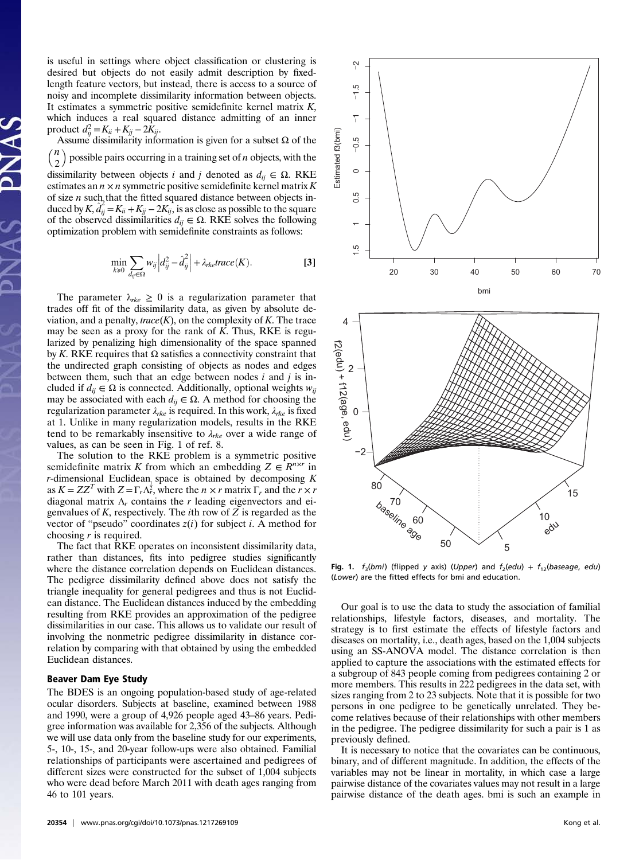is useful in settings where object classification or clustering is desired but objects do not easily admit description by fixedlength feature vectors, but instead, there is access to a source of noisy and incomplete dissimilarity information between objects. It estimates a symmetric positive semidefinite kernel matrix  $K$ , which induces a real squared distance admitting of an inner product  $d_{ij}^2 = K_{ii} + K_{jj} - 2K_{ij}$ .

Assume dissimilarity information is given for a subset  $\Omega$  of the  $\binom{n}{k}$ 2  $\setminus$ possible pairs occurring in a training set of  $n$  objects, with the dissimilarity between objects i and j denoted as  $d_{ij} \in \Omega$ . RKE estimates an  $n \times n$  symmetric positive semidefinite kernel matrix K of size  $n$  such that the fitted squared distance between objects induced by  $K$ ,  $\hat{d}_{ij} = K_{ii} + K_{jj} - 2K_{ij}$ , is as close as possible to the square of the observed dissimilarities  $d_{ii} \in \Omega$ . RKE solves the following optimization problem with semidefinite constraints as follows:

$$
\min_{k\geq 0} \sum_{d_{ij}\in\Omega} w_{ij} \left| d_{ij}^2 - \hat{d}_{ij}^2 \right| + \lambda_{rke} trace(K).
$$
 [3]

The parameter  $\lambda_{rke} \geq 0$  is a regularization parameter that trades off fit of the dissimilarity data, as given by absolute deviation, and a penalty, trace $(K)$ , on the complexity of K. The trace may be seen as a proxy for the rank of  $K$ . Thus, RKE is regularized by penalizing high dimensionality of the space spanned by K. RKE requires that  $Ω$  satisfies a connectivity constraint that the undirected graph consisting of objects as nodes and edges between them, such that an edge between nodes  $i$  and  $j$  is included if  $d_{ij} \in \Omega$  is connected. Additionally, optional weights  $w_{ij}$ may be associated with each  $d_{ij} \in \Omega$ . A method for choosing the regularization parameter  $\lambda_{rk}$  is required. In this work,  $\lambda_{rk}$  is fixed at 1. Unlike in many regularization models, results in the RKE tend to be remarkably insensitive to  $\lambda_{rke}$  over a wide range of values, as can be seen in Fig. 1 of ref. 8.

The solution to the RKE problem is a symmetric positive semidefinite matrix K from which an embedding  $Z \in \mathbb{R}^{n \times r}$  in *r*-dimensional Euclidean space is obtained by decomposing K as  $K = ZZ^T$  with  $Z = \Gamma_r \Lambda_r^{\frac{1}{2}}$ , where the  $n \times r$  matrix  $\Gamma_r$  and the  $r \times r$ diagonal matrix  $\Lambda_r$  contains the r leading eigenvectors and eigenvalues of  $K$ , respectively. The *i*th row of  $Z$  is regarded as the vector of "pseudo" coordinates  $z(i)$  for subject i. A method for choosing  $r$  is required.

The fact that RKE operates on inconsistent dissimilarity data, rather than distances, fits into pedigree studies significantly where the distance correlation depends on Euclidean distances. The pedigree dissimilarity defined above does not satisfy the triangle inequality for general pedigrees and thus is not Euclidean distance. The Euclidean distances induced by the embedding resulting from RKE provides an approximation of the pedigree dissimilarities in our case. This allows us to validate our result of involving the nonmetric pedigree dissimilarity in distance correlation by comparing with that obtained by using the embedded Euclidean distances.

# Beaver Dam Eye Study

The BDES is an ongoing population-based study of age-related ocular disorders. Subjects at baseline, examined between 1988 and 1990, were a group of 4,926 people aged 43–86 years. Pedigree information was available for 2,356 of the subjects. Although we will use data only from the baseline study for our experiments, 5-, 10-, 15-, and 20-year follow-ups were also obtained. Familial relationships of participants were ascertained and pedigrees of different sizes were constructed for the subset of 1,004 subjects who were dead before March 2011 with death ages ranging from 46 to 101 years.



Fig. 1.  $f_3(bmi)$  (flipped y axis) (Upper) and  $f_2(edu) + f_{12}(baseage, edu)$ (Lower) are the fitted effects for bmi and education.

5

Our goal is to use the data to study the association of familial relationships, lifestyle factors, diseases, and mortality. The strategy is to first estimate the effects of lifestyle factors and diseases on mortality, i.e., death ages, based on the 1,004 subjects using an SS-ANOVA model. The distance correlation is then applied to capture the associations with the estimated effects for a subgroup of 843 people coming from pedigrees containing 2 or more members. This results in 222 pedigrees in the data set, with sizes ranging from 2 to 23 subjects. Note that it is possible for two persons in one pedigree to be genetically unrelated. They become relatives because of their relationships with other members in the pedigree. The pedigree dissimilarity for such a pair is 1 as previously defined.

It is necessary to notice that the covariates can be continuous, binary, and of different magnitude. In addition, the effects of the variables may not be linear in mortality, in which case a large pairwise distance of the covariates values may not result in a large pairwise distance of the death ages. bmi is such an example in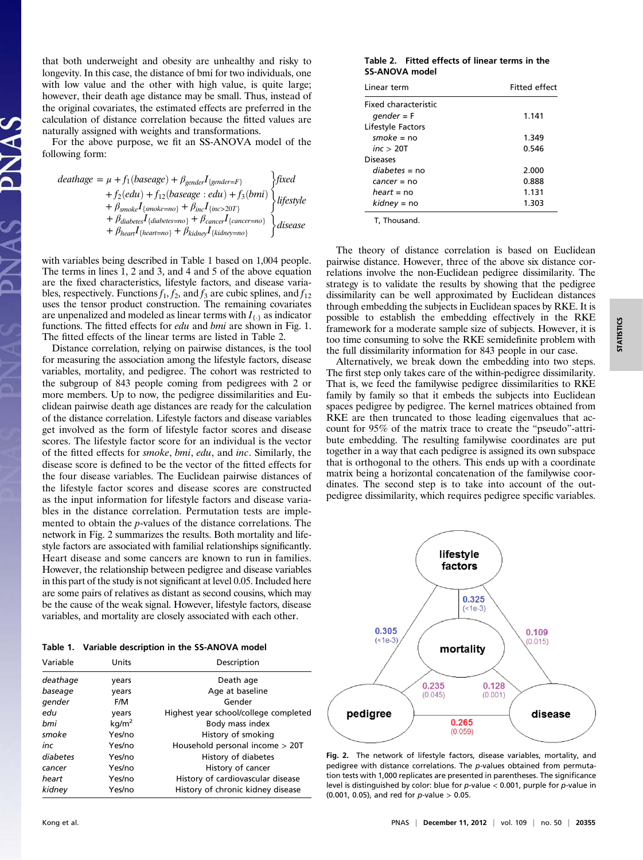that both underweight and obesity are unhealthy and risky to longevity. In this case, the distance of bmi for two individuals, one with low value and the other with high value, is quite large; however, their death age distance may be small. Thus, instead of the original covariates, the estimated effects are preferred in the calculation of distance correlation because the fitted values are naturally assigned with weights and transformations.

For the above purpose, we fit an SS-ANOVA model of the following form:

$$
deathage = \mu + f_1(baseage) + \beta_{gender}I_{\{gender = F\}} \qquad \text{fixed}
$$
  
+  $f_2(edu) + f_{12}(baseage : edu) + f_3(bmi)$   
+  $\beta_{smoke}I_{\{smoke = no\}} + \beta_{inc}I_{\{inc>20T\}} \qquad \text{ii} \neq \beta_{diabetes}I_{\{diabetes = no\}} + \beta_{cancel}I_{\{kalney = 10\}} \qquad \text{ii} \neq \beta_{hear}I_{\{hear = no\}} + \beta_{kiahey}I_{\{kidney = no\}} \qquad \text{iii}$ 

with variables being described in Table 1 based on 1,004 people. The terms in lines 1, 2 and 3, and 4 and 5 of the above equation are the fixed characteristics, lifestyle factors, and disease variables, respectively. Functions  $f_1, f_2$ , and  $f_3$  are cubic splines, and  $f_{12}$ uses the tensor product construction. The remaining covariates are unpenalized and modeled as linear terms with  $I_{\{.\}}$  as indicator functions. The fitted effects for *edu* and *bmi* are shown in Fig. 1. The fitted effects of the linear terms are listed in Table 2.

Distance correlation, relying on pairwise distances, is the tool for measuring the association among the lifestyle factors, disease variables, mortality, and pedigree. The cohort was restricted to the subgroup of 843 people coming from pedigrees with 2 or more members. Up to now, the pedigree dissimilarities and Euclidean pairwise death age distances are ready for the calculation of the distance correlation. Lifestyle factors and disease variables get involved as the form of lifestyle factor scores and disease scores. The lifestyle factor score for an individual is the vector of the fitted effects for smoke, bmi, edu, and inc. Similarly, the disease score is defined to be the vector of the fitted effects for the four disease variables. The Euclidean pairwise distances of the lifestyle factor scores and disease scores are constructed as the input information for lifestyle factors and disease variables in the distance correlation. Permutation tests are implemented to obtain the p-values of the distance correlations. The network in Fig. 2 summarizes the results. Both mortality and lifestyle factors are associated with familial relationships significantly. Heart disease and some cancers are known to run in families. However, the relationship between pedigree and disease variables in this part of the study is not significant at level 0.05. Included here are some pairs of relatives as distant as second cousins, which may be the cause of the weak signal. However, lifestyle factors, disease variables, and mortality are closely associated with each other.

Table 1. Variable description in the SS-ANOVA model Variable Units Description

deathage vears vears Death age baseage years and Aqe at baseline gender F/M Gender

 $bmi$  kg/m<sup>2</sup> Body mass index smoke Yes/no History of smoking inc Yes/no Household personal income > 20T diabetes Yes/no History of diabetes cancer **Yes/no** History of cancer heart Yes/no History of cardiovascular disease kidney Yes/no History of chronic kidney disease

edu years Highest year school/college completed

|                       | Table 2. Fitted effects of linear terms in the |
|-----------------------|------------------------------------------------|
| <b>SS-ANOVA model</b> |                                                |

| Linear term          | Fitted effect |  |
|----------------------|---------------|--|
| Fixed characteristic |               |  |
| $qender = F$         | 1.141         |  |
| Lifestyle Factors    |               |  |
| smoke = $no$         | 1.349         |  |
| inc > 20T            | 0.546         |  |
| <b>Diseases</b>      |               |  |
| <i>diabetes</i> = no | 2.000         |  |
| <i>cancer</i> = no   | 0.888         |  |
| $heart = no$         | 1.131         |  |
| $kidney = no$        | 1.303         |  |

T, Thousand.

The theory of distance correlation is based on Euclidean pairwise distance. However, three of the above six distance correlations involve the non-Euclidean pedigree dissimilarity. The strategy is to validate the results by showing that the pedigree dissimilarity can be well approximated by Euclidean distances through embedding the subjects in Euclidean spaces by RKE. It is possible to establish the embedding effectively in the RKE framework for a moderate sample size of subjects. However, it is too time consuming to solve the RKE semidefinite problem with the full dissimilarity information for 843 people in our case.

Alternatively, we break down the embedding into two steps. The first step only takes care of the within-pedigree dissimilarity. That is, we feed the familywise pedigree dissimilarities to RKE family by family so that it embeds the subjects into Euclidean spaces pedigree by pedigree. The kernel matrices obtained from RKE are then truncated to those leading eigenvalues that account for 95% of the matrix trace to create the "pseudo"-attribute embedding. The resulting familywise coordinates are put together in a way that each pedigree is assigned its own subspace that is orthogonal to the others. This ends up with a coordinate matrix being a horizontal concatenation of the familywise coordinates. The second step is to take into account of the outpedigree dissimilarity, which requires pedigree specific variables.



Fig. 2. The network of lifestyle factors, disease variables, mortality, and pedigree with distance correlations. The p-values obtained from permutation tests with 1,000 replicates are presented in parentheses. The significance level is distinguished by color: blue for  $p$ -value < 0.001, purple for  $p$ -value in  $(0.001, 0.05)$ , and red for p-value  $> 0.05$ .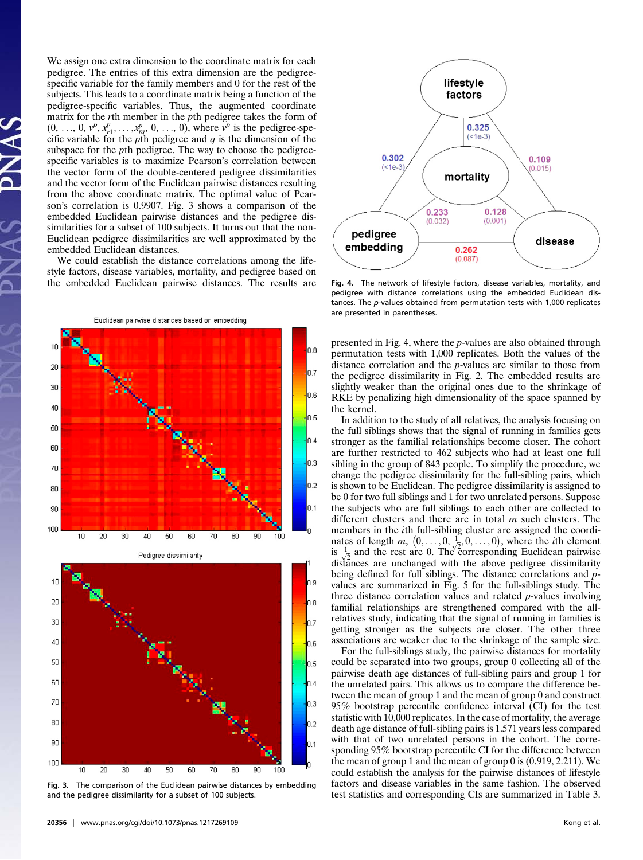We assign one extra dimension to the coordinate matrix for each pedigree. The entries of this extra dimension are the pedigreespecific variable for the family members and 0 for the rest of the subjects. This leads to a coordinate matrix being a function of the pedigree-specific variables. Thus, the augmented coordinate matrix for the rth member in the pth pedigree takes the form of  $(0, \ldots, 0, v^p, x^p_{r1}, \ldots, x^p_{rq}, 0, \ldots, 0)$ , where  $v^p$  is the pedigree-specific variable for the pth pedigree and  $q$  is the dimension of the subspace for the *pth* pedigree. The way to choose the pedigreespecific variables is to maximize Pearson's correlation between the vector form of the double-centered pedigree dissimilarities and the vector form of the Euclidean pairwise distances resulting from the above coordinate matrix. The optimal value of Pearson's correlation is 0.9907. Fig. 3 shows a comparison of the embedded Euclidean pairwise distances and the pedigree dissimilarities for a subset of 100 subjects. It turns out that the non-Euclidean pedigree dissimilarities are well approximated by the embedded Euclidean distances.

We could establish the distance correlations among the lifestyle factors, disease variables, mortality, and pedigree based on the embedded Euclidean pairwise distances. The results are





Pedigree dissimilarity



Fig. 3. The comparison of the Euclidean pairwise distances by embedding and the pedigree dissimilarity for a subset of 100 subjects.



Fig. 4. The network of lifestyle factors, disease variables, mortality, and pedigree with distance correlations using the embedded Euclidean distances. The p-values obtained from permutation tests with 1,000 replicates are presented in parentheses.

presented in Fig. 4, where the p-values are also obtained through permutation tests with 1,000 replicates. Both the values of the distance correlation and the p-values are similar to those from the pedigree dissimilarity in Fig. 2. The embedded results are slightly weaker than the original ones due to the shrinkage of RKE by penalizing high dimensionality of the space spanned by the kernel.

In addition to the study of all relatives, the analysis focusing on the full siblings shows that the signal of running in families gets stronger as the familial relationships become closer. The cohort are further restricted to 462 subjects who had at least one full sibling in the group of 843 people. To simplify the procedure, we change the pedigree dissimilarity for the full-sibling pairs, which is shown to be Euclidean. The pedigree dissimilarity is assigned to be 0 for two full siblings and 1 for two unrelated persons. Suppose the subjects who are full siblings to each other are collected to different clusters and there are in total  $m$  such clusters. The members in the ith full-sibling cluster are assigned the coordinates of length m,  $(0, \ldots, 0, \frac{1}{\sqrt{2}}, 0, \ldots, 0)$ , where the *i*th element<br>is  $\frac{1}{2}$  and the rest are 0. The corresponding Euclidean pairwise is  $\frac{1}{\sqrt{2}}$  and the rest are 0. The corresponding Euclidean pairwise  $\frac{2}{\sqrt{2}}$  distances are unchanged with the above pedigree dissimilarity being defined for full siblings. The distance correlations and pvalues are summarized in Fig. 5 for the full-siblings study. The three distance correlation values and related p-values involving familial relationships are strengthened compared with the allrelatives study, indicating that the signal of running in families is getting stronger as the subjects are closer. The other three associations are weaker due to the shrinkage of the sample size.

For the full-siblings study, the pairwise distances for mortality could be separated into two groups, group 0 collecting all of the pairwise death age distances of full-sibling pairs and group 1 for the unrelated pairs. This allows us to compare the difference between the mean of group 1 and the mean of group 0 and construct 95% bootstrap percentile confidence interval (CI) for the test statistic with 10,000 replicates. In the case of mortality, the average death age distance of full-sibling pairs is 1.571 years less compared with that of two unrelated persons in the cohort. The corresponding 95% bootstrap percentile CI for the difference between the mean of group 1 and the mean of group 0 is (0.919, 2.211). We could establish the analysis for the pairwise distances of lifestyle factors and disease variables in the same fashion. The observed test statistics and corresponding CIs are summarized in Table 3.